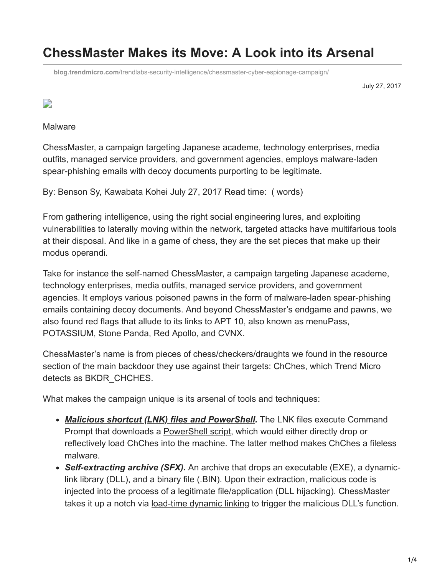# **ChessMaster Makes its Move: A Look into its Arsenal**

**blog.trendmicro.com**[/trendlabs-security-intelligence/chessmaster-cyber-espionage-campaign/](https://blog.trendmicro.com/trendlabs-security-intelligence/chessmaster-cyber-espionage-campaign/)

July 27, 2017

### $\overline{\phantom{a}}$

#### Malware

ChessMaster, a campaign targeting Japanese academe, technology enterprises, media outfits, managed service providers, and government agencies, employs malware-laden spear-phishing emails with decoy documents purporting to be legitimate.

By: Benson Sy, Kawabata Kohei July 27, 2017 Read time: ( words)

From gathering intelligence, using the right social engineering lures, and exploiting vulnerabilities to laterally moving within the network, targeted attacks have multifarious tools at their disposal. And like in a game of chess, they are the set pieces that make up their modus operandi.

Take for instance the self-named ChessMaster, a campaign targeting Japanese academe, technology enterprises, media outfits, managed service providers, and government agencies. It employs various poisoned pawns in the form of malware-laden spear-phishing emails containing decoy documents. And beyond ChessMaster's endgame and pawns, we also found red flags that allude to its links to APT 10, also known as menuPass, POTASSIUM, Stone Panda, Red Apollo, and CVNX.

ChessMaster's name is from pieces of chess/checkers/draughts we found in the resource section of the main backdoor they use against their targets: ChChes, which Trend Micro detects as BKDR\_CHCHES.

What makes the campaign unique is its arsenal of tools and techniques:

- *[Malicious shortcut \(LNK\) files and PowerShell](https://blog.trendmicro.com/en_us/research/17/e/rising-trend-attackers-using-lnk-files-download-malware.html).* The LNK files execute Command Prompt that downloads a [PowerShell script,](https://www.trendmicro.com/vinfo/tmr/?/us/security/news/security-technology/security-101-the-rise-of-fileless-threats-that-abuse-powershell) which would either directly drop or reflectively load ChChes into the machine. The latter method makes ChChes a fileless malware.
- *Self-extracting archive (SFX).* An archive that drops an executable (EXE), a dynamiclink library (DLL), and a binary file (.BIN). Upon their extraction, malicious code is injected into the process of a legitimate file/application (DLL hijacking). ChessMaster takes it up a notch via [load-time dynamic linking](https://msdn.microsoft.com/en-us/library/windows/desktop/ms684184(v=vs.85).aspx) to trigger the malicious DLL's function.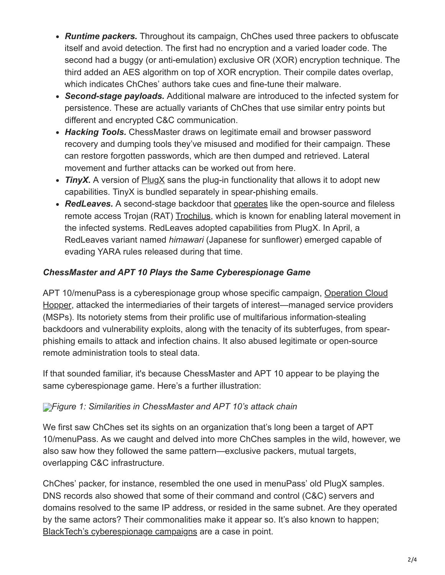- *Runtime packers.* Throughout its campaign, ChChes used three packers to obfuscate itself and avoid detection. The first had no encryption and a varied loader code. The second had a buggy (or anti-emulation) exclusive OR (XOR) encryption technique. The third added an AES algorithm on top of XOR encryption. Their compile dates overlap, which indicates ChChes' authors take cues and fine-tune their malware.
- *Second-stage payloads.* Additional malware are introduced to the infected system for persistence. These are actually variants of ChChes that use similar entry points but different and encrypted C&C communication.
- *Hacking Tools.* ChessMaster draws on legitimate email and browser password recovery and dumping tools they've misused and modified for their campaign. These can restore forgotten passwords, which are then dumped and retrieved. Lateral movement and further attacks can be worked out from here.
- **TinyX.** A version of [PlugX](http://blog.trendmicro.com/trendlabs-security-intelligence/plugx-new-tool-for-a-not-so-new-campaign/) sans the plug-in functionality that allows it to adopt new capabilities. TinyX is bundled separately in spear-phishing emails.
- *RedLeaves.* A second-stage backdoor that [operates](http://blog.jpcert.or.jp/2017/04/redleaves---malware-based-on-open-source-rat.html) like the open-source and fileless remote access Trojan (RAT) [Trochilus,](https://www.cyber.nj.gov/threat-profiles/trojan-variants/trochilus) which is known for enabling lateral movement in the infected systems. RedLeaves adopted capabilities from PlugX. In April, a RedLeaves variant named *himawari* (Japanese for sunflower) emerged capable of evading YARA rules released during that time.

# *ChessMaster and APT 10 Plays the Same Cyberespionage Game*

APT 10/menuPass is a cyberespionage group whose specific campaign, Operation Cloud [Hopper, attacked the intermediaries of their targets of interest—managed service provider](https://www.trendmicro.com/vinfo/tmr/?/us/security/news/cyber-attacks/operation-cloud-hopper-what-you-need-to-know)s (MSPs). Its notoriety stems from their prolific use of multifarious information-stealing backdoors and vulnerability exploits, along with the tenacity of its subterfuges, from spearphishing emails to attack and infection chains. It also abused legitimate or open-source remote administration tools to steal data.

If that sounded familiar, it's because ChessMaster and APT 10 appear to be playing the same cyberespionage game. Here's a further illustration:

### *[F](https://blog.trendmicro.com/content/dam/trendmicro/global/en/migrated/security-intelligence-migration-spreadsheet/trendlabs-security-intelligence/2017/07/chessmaster-apt10-cyberespionage-1.jpg)igure 1: Similarities in ChessMaster and APT 10's attack chain*

We first saw ChChes set its sights on an organization that's long been a target of APT 10/menuPass. As we caught and delved into more ChChes samples in the wild, however, we also saw how they followed the same pattern—exclusive packers, mutual targets, overlapping C&C infrastructure.

ChChes' packer, for instance, resembled the one used in menuPass' old PlugX samples. DNS records also showed that some of their command and control (C&C) servers and domains resolved to the same IP address, or resided in the same subnet. Are they operated by the same actors? Their commonalities make it appear so. It's also known to happen; [BlackTech's cyberespionage campaigns](https://blog.trendmicro.com/en_us/research/17/f/following-trail-blacktech-cyber-espionage-campaigns.html) are a case in point.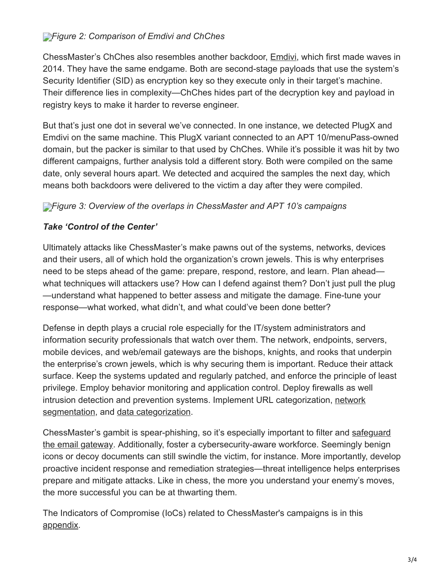# *[F](https://blog.trendmicro.com/content/dam/trendmicro/global/en/migrated/security-intelligence-migration-spreadsheet/trendlabs-security-intelligence/2017/07/chessmaster-apt10-cyberespionage-2.jpg)igure 2: Comparison of Emdivi and ChChes*

ChessMaster's ChChes also resembles another backdoor, [Emdivi](http://blog.trendmicro.com/trendlabs-security-intelligence/attackers-target-organizations-in-japan-transform-local-sites-into-cc-servers-for-emdivi-backdoor/), which first made waves in 2014. They have the same endgame. Both are second-stage payloads that use the system's Security Identifier (SID) as encryption key so they execute only in their target's machine. Their difference lies in complexity—ChChes hides part of the decryption key and payload in registry keys to make it harder to reverse engineer.

But that's just one dot in several we've connected. In one instance, we detected PlugX and Emdivi on the same machine. This PlugX variant connected to an APT 10/menuPass-owned domain, but the packer is similar to that used by ChChes. While it's possible it was hit by two different campaigns, further analysis told a different story. Both were compiled on the same date, only several hours apart. We detected and acquired the samples the next day, which means both backdoors were delivered to the victim a day after they were compiled.

### *[F](https://blog.trendmicro.com/content/dam/trendmicro/global/en/migrated/security-intelligence-migration-spreadsheet/trendlabs-security-intelligence/2017/07/Figure-3-ChessMaster.jpg)igure 3: Overview of the overlaps in ChessMaster and APT 10's campaigns*

### *Take 'Control of the Center'*

Ultimately attacks like ChessMaster's make pawns out of the systems, networks, devices and their users, all of which hold the organization's crown jewels. This is why enterprises need to be steps ahead of the game: prepare, respond, restore, and learn. Plan ahead what techniques will attackers use? How can I defend against them? Don't just pull the plug —understand what happened to better assess and mitigate the damage. Fine-tune your response—what worked, what didn't, and what could've been done better?

Defense in depth plays a crucial role especially for the IT/system administrators and information security professionals that watch over them. The network, endpoints, servers, mobile devices, and web/email gateways are the bishops, knights, and rooks that underpin the enterprise's crown jewels, which is why securing them is important. Reduce their attack surface. Keep the systems updated and regularly patched, and enforce the principle of least privilege. Employ behavior monitoring and application control. Deploy firewalls as well [intrusion detection and prevention systems. Implement URL categorization, network](https://www.trendmicro.com/vinfo/tmr/?/us/security/news/cyber-attacks/protecting-data-through-network-segmentation) segmentation, and [data categorization](http://blog.trendmicro.com/trendlabs-security-intelligence/identifying-and-dividing-networks-and-users/).

[ChessMaster's gambit is spear-phishing, so it's especially important to filter and safeguard](https://www.trendmicro.com/vinfo/tmr/?/us/security/news/cybercrime-and-digital-threats/infosec-guide-email-threats) the email gateway. Additionally, foster a cybersecurity-aware workforce. Seemingly benign icons or decoy documents can still swindle the victim, for instance. More importantly, develop proactive incident response and remediation strategies—threat intelligence helps enterprises prepare and mitigate attacks. Like in chess, the more you understand your enemy's moves, the more successful you can be at thwarting them.

The Indicators of Compromise (IoCs) related to ChessMaster's campaigns is in this [appendix.](https://documents.trendmicro.com/assets/Appendix-ChessMaster-Makes-its-Move-A-Look-into-the-Campaigns-Cyberespionage-Arsenal.pdf)